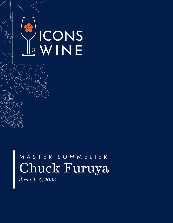

# M A S T E R S O M M E L I E R Chuck Furuya

*June 3 - 5, 2022*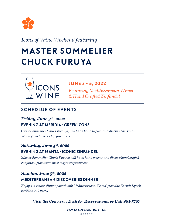

*Icons of Wine Weekend featuring*

# **MASTER SOMMELIER CH UCK FU RU YA**



### **JUNE 3 - 5, 2022**

*Featuring Mediterranean Wines & Hand Crafted Zinfandel*

## **SCHEDLUE OF EVENTS**

### *Friday, June 3rd, 2022* **EVENING AT MERIDIA - GREEK ICONS**

*Guest Sommelier Chuck Furuya, will be on hand to pour and discuss Artisanal Wines from Greece's top producers.*

## *Saturday, June 4th, 2022* **EVENING AT MANTA - ICONIC ZINFANDEL**

*Master Sommelier Chuck Furuya will be on hand to pour and discuss hand crafted Zinfandel, from three most respected producers.*

## *Sunday, June 5th, 2022* **MEDITERRANEAN DISCOVERIES DINNER**

*Enjoy a 4 course dinner paired with Mediterranean "Gems" from the Kermit Lynch portfolio and more!*

*Visit the Concierge Desk for Reservations, or Call 882-5707*

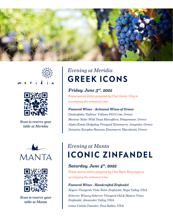





*Scan to reserve your table at Meridia*





*Scan to reserve your table at Manta*

## *Evening at Meridia* **GREEK ICONS**

### *Friday, June 3rd, 2022*

*Enjoy special dishes prepared by Chef Junior Ulep to accompany the artisanal wine.* 

### *Featured Wines - Artisanal Wines of Greece*

*Douloufakis 'Dafnios' Vidiano PGI Crete, Greece Skouras 'Salto' Wild Yeast Moscofilero, Peloponnese, Greece Alpha Estate Hedgehog Vineyard Xinomavro, Amyndeo, Greece Domaine Karydas Naoussa Xinomavro, Macedonia, Greece*

# *Evening at Manta* **ICONIC ZINFANDEL**

### *Saturday, June 4th, 2022*

*Enjoy special dishes prepared by Chef Ryan Brannigan to accompany the artisanal wine.* 

#### *Featured Wines - Handcrafted Zinfandel*

*Neyers Vineyards Vista Notre Zinfandel, Napa Valley, USA Scherrer Winery Scherrer Vineyard Old & Mature Vines Zinfandel, Alexander Valley, USA Linne Calodo Outsider, Paso Robles, USA*